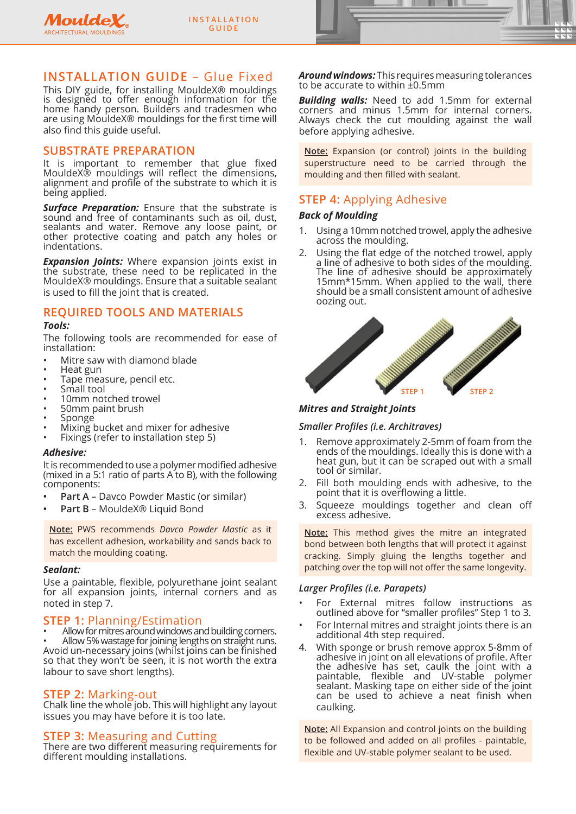



# **INSTALLATION GUIDE** – Glue Fixed

This DIY guide, for installing MouldeX® mouldings is designed to offer enough information for the home handy person. Builders and tradesmen who are using MouldeX® mouldings for the first time will also find this guide useful.

# **SUBSTRATE PREPARATION**

It is important to remember that glue fixed MouldeX® mouldings will reflect the dimensions, alignment and profile of the substrate to which it is being applied.

**Surface Preparation:** Ensure that the substrate is sound and free of contaminants such as oil, dust, sealants and water. Remove any loose paint, or other protective coating and patch any holes or indentations.

*Expansion Joints:* Where expansion joints exist in the substrate, these need to be replicated in the MouldeX® mouldings. Ensure that a suitable sealant is used to fill the joint that is created.

# **REQUIRED TOOLS AND MATERIALS**

### *Tools:*

The following tools are recommended for ease of installation:

- Mitre saw with diamond blade
- Heat gun
- Tape measure, pencil etc.
- Small tool
- 10mm notched trowel
- 50mm paint brush • Sponge
- Mixing bucket and mixer for adhesive
- Fixings (refer to installation step 5)

### *Adhesive:*

It is recommended to use a polymer modified adhesive (mixed in a 5:1 ratio of parts A to B), with the following components:

- **• Part A**  Davco Powder Mastic (or similar)
- **• Part B** MouldeX® Liquid Bond

**Note:** PWS recommends *Davco Powder Mastic* as it has excellent adhesion, workability and sands back to match the moulding coating.

### *Sealant:*

Use a paintable, flexible, polyurethane joint sealant for all expansion joints, internal corners and as noted in step 7.

**STEP 1: Planning/Estimation**<br>
• Allow for mitres around windows and building corners.<br>
• Allow 5% wastage for joining lengths on straight runs.<br>
Avoid un-necessary joins (whilst joins can be finished so that they won't be seen, it is not worth the extra labour to save short lengths).

**STEP 2:** Marking-out STEP 1: Chalk line the whole job. This will highlight any layout issues you may have before it is too late.

**STEP 3: Measuring and Cutting There are two different measuring requirements for** different moulding installations.

*Around windows:* This requires measuring tolerances to be accurate to within ±0.5mm

*Building walls:* Need to add 1.5mm for external corners and minus 1.5mm for internal corners. Always check the cut moulding against the wall before applying adhesive.

**Note:** Expansion (or control) joints in the building superstructure need to be carried through the moulding and then filled with sealant.

# **STEP 4:** Applying Adhesive

## *Back of Moulding*

- 1. Using a 10mm notched trowel, apply the adhesive across the moulding.
- Using the flat edge of the notched trowel, apply a line of adhesive to both sides of the moulding. The line of adhesive should be approximately 15mm\*15mm. When applied to the wall, there should be a small consistent amount of adhesive oozing out.



# *Mitres and Straight Joints*

# *Smaller Profiles (i.e. Architraves)*

- 1. Remove approximately 2-5mm of foam from the ends of the mouldings. Ideally this is done with a heat gun, but it can be scraped out with a small tool or similar.
- 2. Fill both moulding ends with adhesive, to the point that it is overflowing a little.
- 3. Squeeze mouldings together and clean off excess adhesive.

**Note:** This method gives the mitre an integrated bond between both lengths that will protect it against cracking. Simply gluing the lengths together and patching over the top will not offer the same longevity.

# *Larger Profiles (i.e. Parapets)*

- For External mitres follow instructions as outlined above for "smaller profiles" Step 1 to 3.
- For Internal mitres and straight joints there is an additional 4th step required.
- 4. With sponge or brush remove approx 5-8mm of adhesive in joint on all elevations of profile. After the adhesive has set, caulk the joint with a paintable, flexible and UV-stable polymer sealant. Masking tape on either side of the joint can be used to achieve a neat finish when caulking.

**Note:** All Expansion and control joints on the building to be followed and added on all profiles - paintable, flexible and UV-stable polymer sealant to be used.